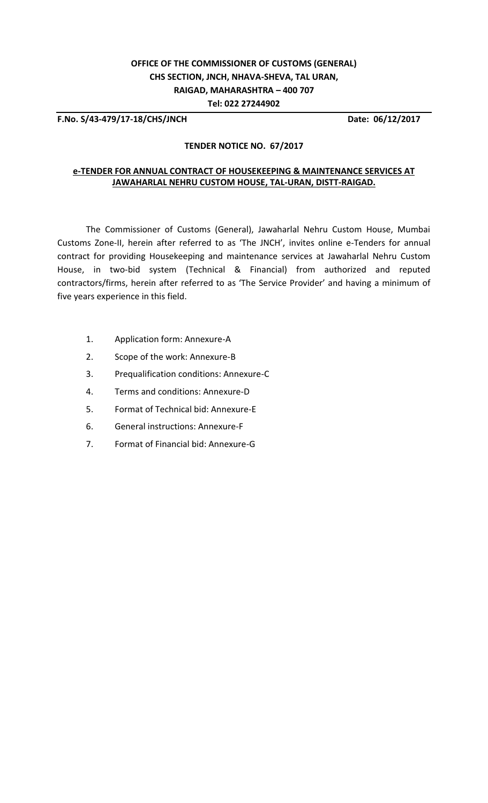# **OFFICE OF THE COMMISSIONER OF CUSTOMS (GENERAL) CHS SECTION, JNCH, NHAVA-SHEVA, TAL URAN, RAIGAD, MAHARASHTRA – 400 707 Tel: 022 27244902**

**F.No. S/43-479/17-18/CHS/JNCH Date: 06/12/2017**

#### **TENDER NOTICE NO. 67/2017**

#### **e-TENDER FOR ANNUAL CONTRACT OF HOUSEKEEPING & MAINTENANCE SERVICES AT JAWAHARLAL NEHRU CUSTOM HOUSE, TAL-URAN, DISTT-RAIGAD.**

The Commissioner of Customs (General), Jawaharlal Nehru Custom House, Mumbai Customs Zone-II, herein after referred to as 'The JNCH', invites online e-Tenders for annual contract for providing Housekeeping and maintenance services at Jawaharlal Nehru Custom House, in two-bid system (Technical & Financial) from authorized and reputed contractors/firms, herein after referred to as 'The Service Provider' and having a minimum of five years experience in this field.

- 1. Application form: Annexure-A
- 2. Scope of the work: Annexure-B
- 3. Prequalification conditions: Annexure-C
- 4. Terms and conditions: Annexure-D
- 5. Format of Technical bid: Annexure-E
- 6. General instructions: Annexure-F
- 7. Format of Financial bid: Annexure-G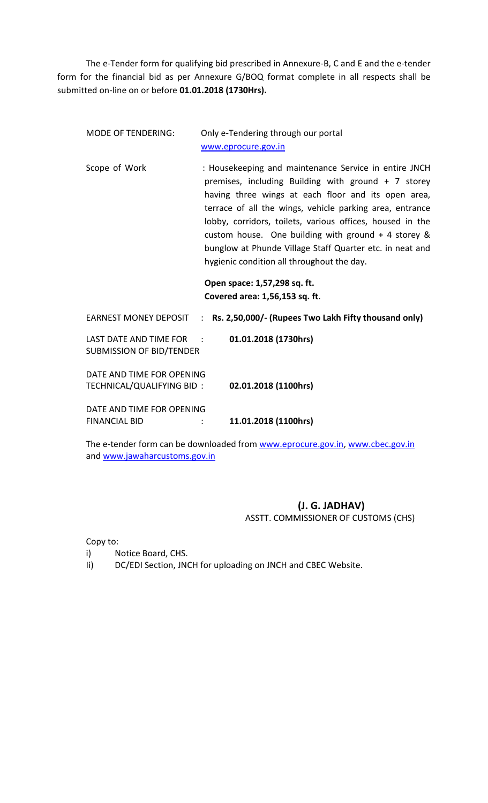The e-Tender form for qualifying bid prescribed in Annexure-B, C and E and the e-tender form for the financial bid as per Annexure G/BOQ format complete in all respects shall be submitted on-line on or before **01.01.2018 (1730Hrs).**

| <b>MODE OF TENDERING:</b>                                   | Only e-Tendering through our portal<br>www.eprocure.gov.in                                                                                                                                                                                                                                                                                                                                                                                                                                      |  |  |
|-------------------------------------------------------------|-------------------------------------------------------------------------------------------------------------------------------------------------------------------------------------------------------------------------------------------------------------------------------------------------------------------------------------------------------------------------------------------------------------------------------------------------------------------------------------------------|--|--|
| Scope of Work                                               | : Housekeeping and maintenance Service in entire JNCH<br>premises, including Building with ground + 7 storey<br>having three wings at each floor and its open area,<br>terrace of all the wings, vehicle parking area, entrance<br>lobby, corridors, toilets, various offices, housed in the<br>custom house. One building with ground $+$ 4 storey &<br>bunglow at Phunde Village Staff Quarter etc. in neat and<br>hygienic condition all throughout the day.<br>Open space: 1,57,298 sq. ft. |  |  |
|                                                             | Covered area: 1,56,153 sq. ft.                                                                                                                                                                                                                                                                                                                                                                                                                                                                  |  |  |
| <b>EARNEST MONEY DEPOSIT</b>                                | : Rs. 2,50,000/- (Rupees Two Lakh Fifty thousand only)                                                                                                                                                                                                                                                                                                                                                                                                                                          |  |  |
| LAST DATE AND TIME FOR :<br><b>SUBMISSION OF BID/TENDER</b> | 01.01.2018 (1730hrs)                                                                                                                                                                                                                                                                                                                                                                                                                                                                            |  |  |
| DATE AND TIME FOR OPENING<br>TECHNICAL/QUALIFYING BID:      | 02.01.2018 (1100hrs)                                                                                                                                                                                                                                                                                                                                                                                                                                                                            |  |  |
| DATE AND TIME FOR OPENING<br><b>FINANCIAL BID</b>           | 11.01.2018 (1100hrs)                                                                                                                                                                                                                                                                                                                                                                                                                                                                            |  |  |

The e-tender form can be downloaded from [www.eprocure.gov.in,](http://www.eprocure.gov.in/) [www.cbec.gov.in](http://www.cbec.gov.in/) and [www.jawaharcustoms.gov.in](http://www.jawaharcustoms.gov.in/)

# **(J. G. JADHAV)** ASSTT. COMMISSIONER OF CUSTOMS (CHS)

Copy to:

- i) Notice Board, CHS.
- Ii) DC/EDI Section, JNCH for uploading on JNCH and CBEC Website.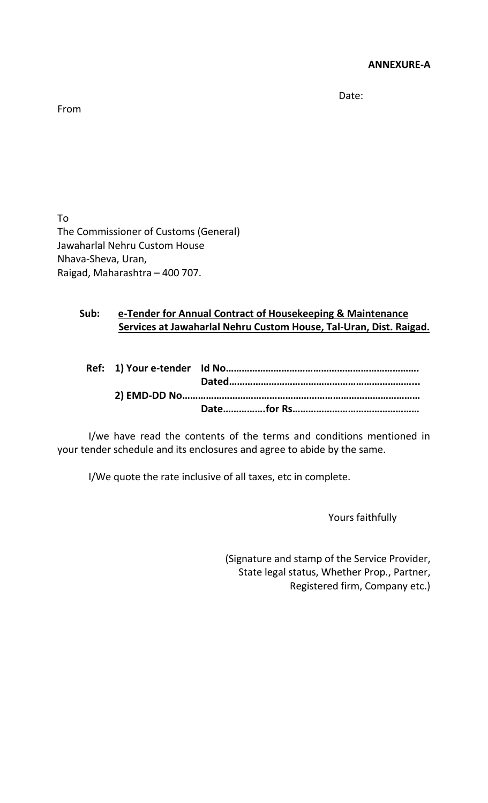de de la contrata de la contrata de la contrata de la contrata de la contrata de la contrata de la contrata de<br>Date:

From

To The Commissioner of Customs (General) Jawaharlal Nehru Custom House Nhava-Sheva, Uran, Raigad, Maharashtra – 400 707.

# **Sub: e-Tender for Annual Contract of Housekeeping & Maintenance Services at Jawaharlal Nehru Custom House, Tal-Uran, Dist. Raigad.**

I/we have read the contents of the terms and conditions mentioned in your tender schedule and its enclosures and agree to abide by the same.

I/We quote the rate inclusive of all taxes, etc in complete.

Yours faithfully

(Signature and stamp of the Service Provider, State legal status, Whether Prop., Partner, Registered firm, Company etc.)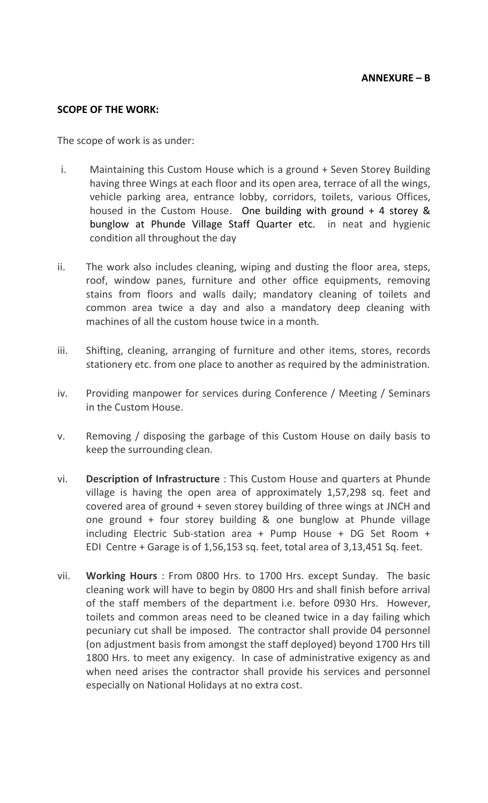## **SCOPE OF THE WORK:**

The scope of work is as under:

- i. Maintaining this Custom House which is a ground + Seven Storey Building having three Wings at each floor and its open area, terrace of all the wings, vehicle parking area, entrance lobby, corridors, toilets, various Offices, housed in the Custom House. One building with ground + 4 storey & bunglow at Phunde Village Staff Quarter etc. in neat and hygienic condition all throughout the day
- ii. The work also includes cleaning, wiping and dusting the floor area, steps, roof, window panes, furniture and other office equipments, removing stains from floors and walls daily; mandatory cleaning of toilets and common area twice a day and also a mandatory deep cleaning with machines of all the custom house twice in a month.
- iii. Shifting, cleaning, arranging of furniture and other items, stores, records stationery etc. from one place to another as required by the administration.
- iv. Providing manpower for services during Conference / Meeting / Seminars in the Custom House.
- v. Removing / disposing the garbage of this Custom House on daily basis to keep the surrounding clean.
- vi. **Description of Infrastructure** : This Custom House and quarters at Phunde village is having the open area of approximately 1,57,298 sq. feet and covered area of ground + seven storey building of three wings at JNCH and one ground + four storey building & one bunglow at Phunde village including Electric Sub-station area + Pump House + DG Set Room + EDI Centre + Garage is of 1,56,153 sq. feet, total area of 3,13,451 Sq. feet.
- vii. **Working Hours** : From 0800 Hrs. to 1700 Hrs. except Sunday. The basic cleaning work will have to begin by 0800 Hrs and shall finish before arrival of the staff members of the department i.e. before 0930 Hrs. However, toilets and common areas need to be cleaned twice in a day failing which pecuniary cut shall be imposed. The contractor shall provide 04 personnel (on adjustment basis from amongst the staff deployed) beyond 1700 Hrs till 1800 Hrs. to meet any exigency. In case of administrative exigency as and when need arises the contractor shall provide his services and personnel especially on National Holidays at no extra cost.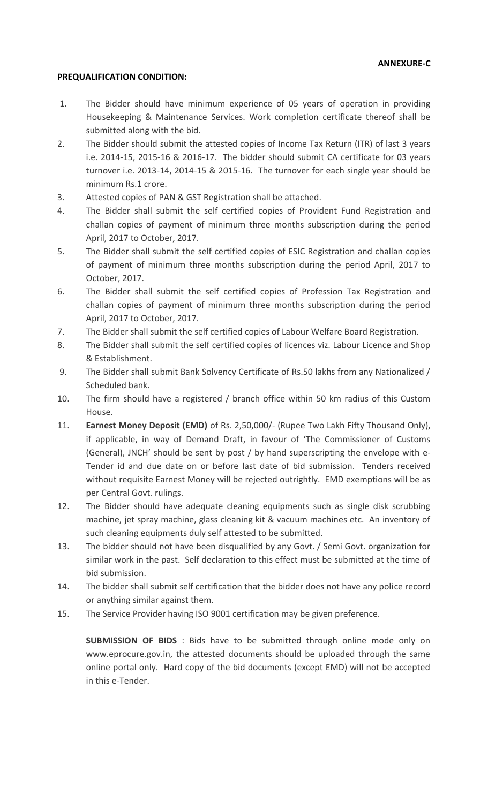#### **PREQUALIFICATION CONDITION:**

- 1. The Bidder should have minimum experience of 05 years of operation in providing Housekeeping & Maintenance Services. Work completion certificate thereof shall be submitted along with the bid.
- 2. The Bidder should submit the attested copies of Income Tax Return (ITR) of last 3 years i.e. 2014-15, 2015-16 & 2016-17. The bidder should submit CA certificate for 03 years turnover i.e. 2013-14, 2014-15 & 2015-16. The turnover for each single year should be minimum Rs.1 crore.
- 3. Attested copies of PAN & GST Registration shall be attached.
- 4. The Bidder shall submit the self certified copies of Provident Fund Registration and challan copies of payment of minimum three months subscription during the period April, 2017 to October, 2017.
- 5. The Bidder shall submit the self certified copies of ESIC Registration and challan copies of payment of minimum three months subscription during the period April, 2017 to October, 2017.
- 6. The Bidder shall submit the self certified copies of Profession Tax Registration and challan copies of payment of minimum three months subscription during the period April, 2017 to October, 2017.
- 7. The Bidder shall submit the self certified copies of Labour Welfare Board Registration.
- 8. The Bidder shall submit the self certified copies of licences viz. Labour Licence and Shop & Establishment.
- 9. The Bidder shall submit Bank Solvency Certificate of Rs.50 lakhs from any Nationalized / Scheduled bank.
- 10. The firm should have a registered / branch office within 50 km radius of this Custom House.
- 11. **Earnest Money Deposit (EMD)** of Rs. 2,50,000/- (Rupee Two Lakh Fifty Thousand Only), if applicable, in way of Demand Draft, in favour of 'The Commissioner of Customs (General), JNCH' should be sent by post / by hand superscripting the envelope with e-Tender id and due date on or before last date of bid submission. Tenders received without requisite Earnest Money will be rejected outrightly. EMD exemptions will be as per Central Govt. rulings.
- 12. The Bidder should have adequate cleaning equipments such as single disk scrubbing machine, jet spray machine, glass cleaning kit & vacuum machines etc. An inventory of such cleaning equipments duly self attested to be submitted.
- 13. The bidder should not have been disqualified by any Govt. / Semi Govt. organization for similar work in the past. Self declaration to this effect must be submitted at the time of bid submission.
- 14. The bidder shall submit self certification that the bidder does not have any police record or anything similar against them.
- 15. The Service Provider having ISO 9001 certification may be given preference.

**SUBMISSION OF BIDS** : Bids have to be submitted through online mode only on www.eprocure.gov.in, the attested documents should be uploaded through the same online portal only. Hard copy of the bid documents (except EMD) will not be accepted in this e-Tender.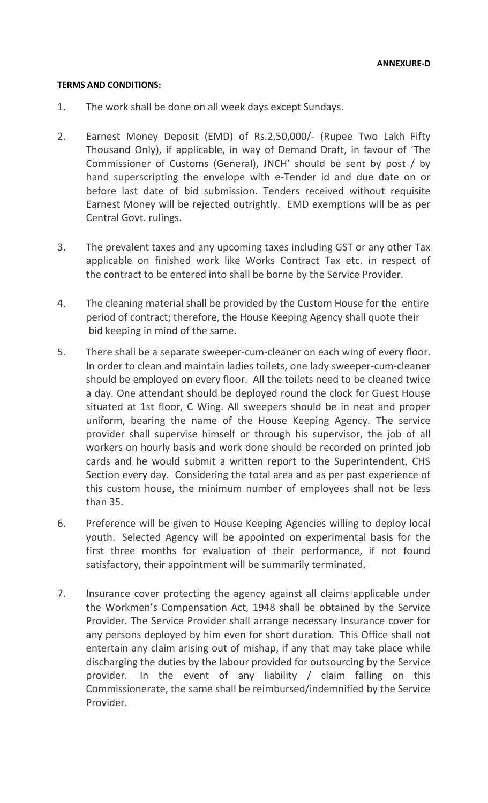#### **TERMS AND CONDITIONS:**

- 1. The work shall be done on all week days except Sundays.
- 2. Earnest Money Deposit (EMD) of Rs.2,50,000/- (Rupee Two Lakh Fifty Thousand Only), if applicable, in way of Demand Draft, in favour of 'The Commissioner of Customs (General), JNCH' should be sent by post / by hand superscripting the envelope with e-Tender id and due date on or before last date of bid submission. Tenders received without requisite Earnest Money will be rejected outrightly. EMD exemptions will be as per Central Govt. rulings.
- 3. The prevalent taxes and any upcoming taxes including GST or any other Tax applicable on finished work like Works Contract Tax etc. in respect of the contract to be entered into shall be borne by the Service Provider.
- 4. The cleaning material shall be provided by the Custom House for the entire period of contract; therefore, the House Keeping Agency shall quote their bid keeping in mind of the same.
- 5. There shall be a separate sweeper-cum-cleaner on each wing of every floor. In order to clean and maintain ladies toilets, one lady sweeper-cum-cleaner should be employed on every floor. All the toilets need to be cleaned twice a day. One attendant should be deployed round the clock for Guest House situated at 1st floor, C Wing. All sweepers should be in neat and proper uniform, bearing the name of the House Keeping Agency. The service provider shall supervise himself or through his supervisor, the job of all workers on hourly basis and work done should be recorded on printed job cards and he would submit a written report to the Superintendent, CHS Section every day. Considering the total area and as per past experience of this custom house, the minimum number of employees shall not be less than 35.
- 6. Preference will be given to House Keeping Agencies willing to deploy local youth. Selected Agency will be appointed on experimental basis for the first three months for evaluation of their performance, if not found satisfactory, their appointment will be summarily terminated.
- 7. Insurance cover protecting the agency against all claims applicable under the Workmen's Compensation Act, 1948 shall be obtained by the Service Provider. The Service Provider shall arrange necessary Insurance cover for any persons deployed by him even for short duration. This Office shall not entertain any claim arising out of mishap, if any that may take place while discharging the duties by the labour provided for outsourcing by the Service provider. In the event of any liability / claim falling on this Commissionerate, the same shall be reimbursed/indemnified by the Service Provider.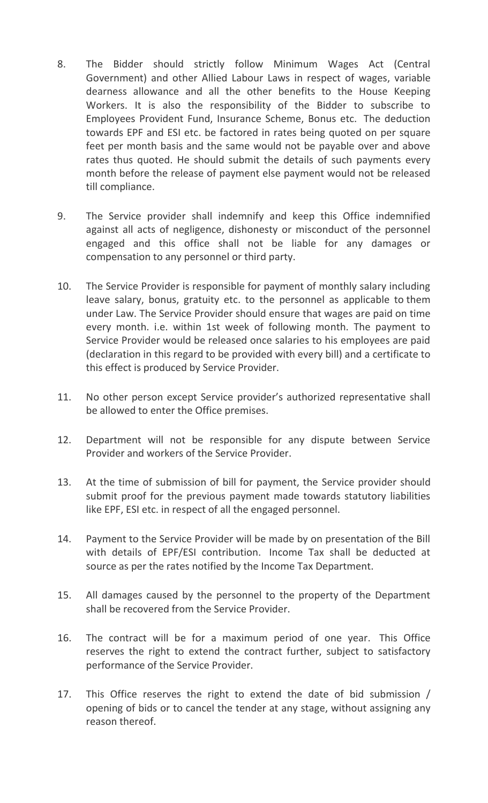- 8. The Bidder should strictly follow Minimum Wages Act (Central Government) and other Allied Labour Laws in respect of wages, variable dearness allowance and all the other benefits to the House Keeping Workers. It is also the responsibility of the Bidder to subscribe to Employees Provident Fund, Insurance Scheme, Bonus etc. The deduction towards EPF and ESI etc. be factored in rates being quoted on per square feet per month basis and the same would not be payable over and above rates thus quoted. He should submit the details of such payments every month before the release of payment else payment would not be released till compliance.
- 9. The Service provider shall indemnify and keep this Office indemnified against all acts of negligence, dishonesty or misconduct of the personnel engaged and this office shall not be liable for any damages or compensation to any personnel or third party.
- 10. The Service Provider is responsible for payment of monthly salary including leave salary, bonus, gratuity etc. to the personnel as applicable to them under Law. The Service Provider should ensure that wages are paid on time every month. i.e. within 1st week of following month. The payment to Service Provider would be released once salaries to his employees are paid (declaration in this regard to be provided with every bill) and a certificate to this effect is produced by Service Provider.
- 11. No other person except Service provider's authorized representative shall be allowed to enter the Office premises.
- 12. Department will not be responsible for any dispute between Service Provider and workers of the Service Provider.
- 13. At the time of submission of bill for payment, the Service provider should submit proof for the previous payment made towards statutory liabilities like EPF, ESI etc. in respect of all the engaged personnel.
- 14. Payment to the Service Provider will be made by on presentation of the Bill with details of EPF/ESI contribution. Income Tax shall be deducted at source as per the rates notified by the Income Tax Department.
- 15. All damages caused by the personnel to the property of the Department shall be recovered from the Service Provider.
- 16. The contract will be for a maximum period of one year. This Office reserves the right to extend the contract further, subject to satisfactory performance of the Service Provider.
- 17. This Office reserves the right to extend the date of bid submission / opening of bids or to cancel the tender at any stage, without assigning any reason thereof.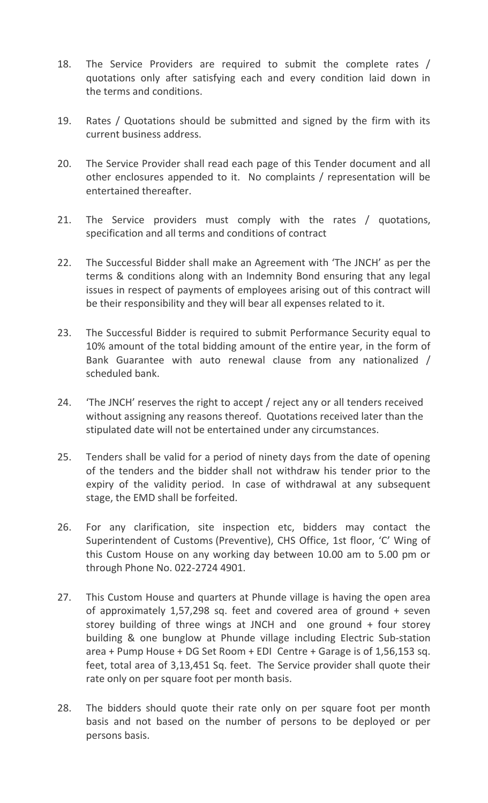- 18. The Service Providers are required to submit the complete rates / quotations only after satisfying each and every condition laid down in the terms and conditions.
- 19. Rates / Quotations should be submitted and signed by the firm with its current business address.
- 20. The Service Provider shall read each page of this Tender document and all other enclosures appended to it. No complaints / representation will be entertained thereafter.
- 21. The Service providers must comply with the rates / quotations, specification and all terms and conditions of contract
- 22. The Successful Bidder shall make an Agreement with 'The JNCH' as per the terms & conditions along with an Indemnity Bond ensuring that any legal issues in respect of payments of employees arising out of this contract will be their responsibility and they will bear all expenses related to it.
- 23. The Successful Bidder is required to submit Performance Security equal to 10% amount of the total bidding amount of the entire year, in the form of Bank Guarantee with auto renewal clause from any nationalized / scheduled bank.
- 24. 'The JNCH' reserves the right to accept / reject any or all tenders received without assigning any reasons thereof. Quotations received later than the stipulated date will not be entertained under any circumstances.
- 25. Tenders shall be valid for a period of ninety days from the date of opening of the tenders and the bidder shall not withdraw his tender prior to the expiry of the validity period. In case of withdrawal at any subsequent stage, the EMD shall be forfeited.
- 26. For any clarification, site inspection etc, bidders may contact the Superintendent of Customs (Preventive), CHS Office, 1st floor, 'C' Wing of this Custom House on any working day between 10.00 am to 5.00 pm or through Phone No. 022-2724 4901.
- 27. This Custom House and quarters at Phunde village is having the open area of approximately 1,57,298 sq. feet and covered area of ground + seven storey building of three wings at JNCH and one ground + four storey building & one bunglow at Phunde village including Electric Sub-station area + Pump House + DG Set Room + EDI Centre + Garage is of 1,56,153 sq. feet, total area of 3,13,451 Sq. feet. The Service provider shall quote their rate only on per square foot per month basis.
- 28. The bidders should quote their rate only on per square foot per month basis and not based on the number of persons to be deployed or per persons basis.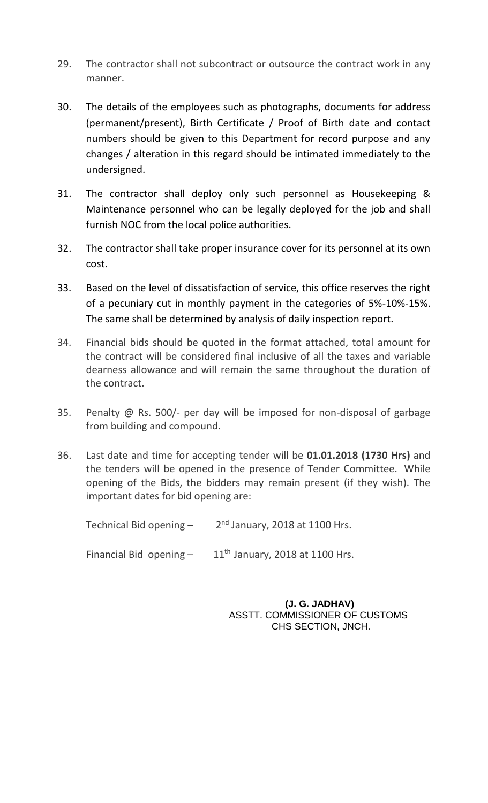- 29. The contractor shall not subcontract or outsource the contract work in any manner.
- 30. The details of the employees such as photographs, documents for address (permanent/present), Birth Certificate / Proof of Birth date and contact numbers should be given to this Department for record purpose and any changes / alteration in this regard should be intimated immediately to the undersigned.
- 31. The contractor shall deploy only such personnel as Housekeeping & Maintenance personnel who can be legally deployed for the job and shall furnish NOC from the local police authorities.
- 32. The contractor shall take proper insurance cover for its personnel at its own cost.
- 33. Based on the level of dissatisfaction of service, this office reserves the right of a pecuniary cut in monthly payment in the categories of 5%-10%-15%. The same shall be determined by analysis of daily inspection report.
- 34. Financial bids should be quoted in the format attached, total amount for the contract will be considered final inclusive of all the taxes and variable dearness allowance and will remain the same throughout the duration of the contract.
- 35. Penalty @ Rs. 500/- per day will be imposed for non-disposal of garbage from building and compound.
- 36. Last date and time for accepting tender will be **01.01.2018 (1730 Hrs)** and the tenders will be opened in the presence of Tender Committee. While opening of the Bids, the bidders may remain present (if they wish). The important dates for bid opening are:

| Technical Bid opening -   | $2nd$ January, 2018 at 1100 Hrs.  |
|---------------------------|-----------------------------------|
| Financial Bid opening $-$ | $11th$ January, 2018 at 1100 Hrs. |

 **(J. G. JADHAV)** ASSTT. COMMISSIONER OF CUSTOMS CHS SECTION, JNCH.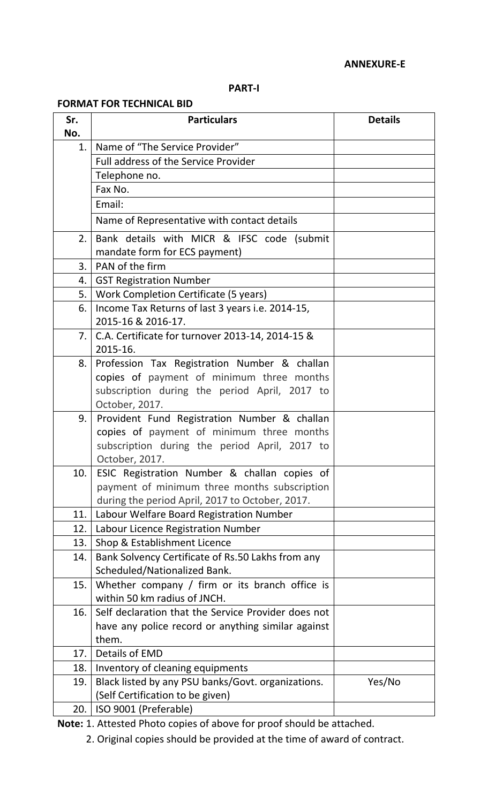#### **ANNEXURE-E**

### **PART-I**

### **FORMAT FOR TECHNICAL BID**

| Sr.<br>No. | <b>Particulars</b>                                                                | <b>Details</b> |
|------------|-----------------------------------------------------------------------------------|----------------|
| 1.         | Name of "The Service Provider"                                                    |                |
|            | Full address of the Service Provider                                              |                |
|            | Telephone no.                                                                     |                |
|            | Fax No.                                                                           |                |
|            | Email:                                                                            |                |
|            | Name of Representative with contact details                                       |                |
| 2.         | Bank details with MICR & IFSC code (submit                                        |                |
|            | mandate form for ECS payment)                                                     |                |
| 3.         | PAN of the firm                                                                   |                |
| 4.         | <b>GST Registration Number</b>                                                    |                |
| 5.         | Work Completion Certificate (5 years)                                             |                |
| 6.         | Income Tax Returns of last 3 years i.e. 2014-15,                                  |                |
|            | 2015-16 & 2016-17.                                                                |                |
| 7.         | C.A. Certificate for turnover 2013-14, 2014-15 &                                  |                |
|            | 2015-16.                                                                          |                |
| 8.         | Profession Tax Registration Number & challan                                      |                |
|            | copies of payment of minimum three months                                         |                |
|            | subscription during the period April, 2017 to                                     |                |
|            | October, 2017.                                                                    |                |
| 9.         | Provident Fund Registration Number & challan                                      |                |
|            | copies of payment of minimum three months                                         |                |
|            | subscription during the period April, 2017 to                                     |                |
|            | October, 2017.                                                                    |                |
| 10.        | ESIC Registration Number & challan copies of                                      |                |
|            | payment of minimum three months subscription                                      |                |
|            | during the period April, 2017 to October, 2017.                                   |                |
| 11.        | Labour Welfare Board Registration Number                                          |                |
| 12.        | Labour Licence Registration Number                                                |                |
| 13.        | Shop & Establishment Licence                                                      |                |
| 14.        | Bank Solvency Certificate of Rs.50 Lakhs from any<br>Scheduled/Nationalized Bank. |                |
| 15.        | Whether company / firm or its branch office is                                    |                |
|            | within 50 km radius of JNCH.                                                      |                |
| 16.        | Self declaration that the Service Provider does not                               |                |
|            | have any police record or anything similar against                                |                |
|            | them.                                                                             |                |
| 17.        | Details of EMD                                                                    |                |
| 18.        | Inventory of cleaning equipments                                                  |                |
| 19.        | Black listed by any PSU banks/Govt. organizations.                                | Yes/No         |
|            | (Self Certification to be given)                                                  |                |
| 20.        | ISO 9001 (Preferable)                                                             |                |

**Note:** 1. Attested Photo copies of above for proof should be attached.

2. Original copies should be provided at the time of award of contract.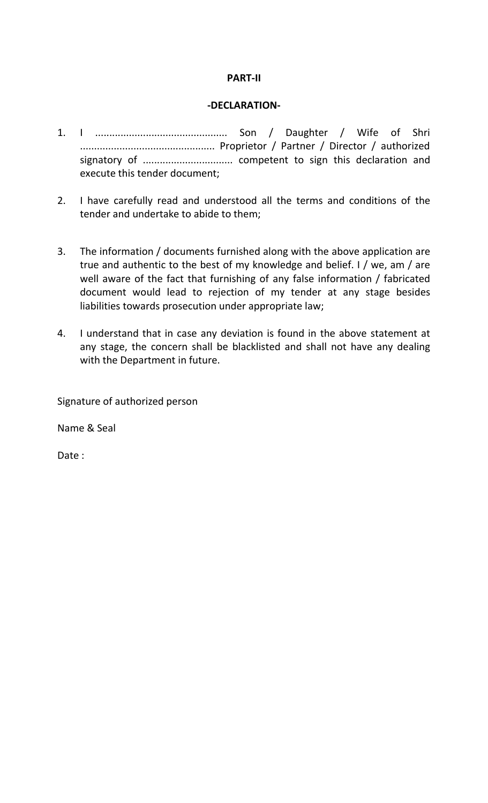## **PART-II**

## **-DECLARATION-**

- 1. I ............................................... Son / Daughter / Wife of Shri ................................................ Proprietor / Partner / Director / authorized signatory of ................................ competent to sign this declaration and execute this tender document;
- 2. I have carefully read and understood all the terms and conditions of the tender and undertake to abide to them;
- 3. The information / documents furnished along with the above application are true and authentic to the best of my knowledge and belief. I / we, am / are well aware of the fact that furnishing of any false information / fabricated document would lead to rejection of my tender at any stage besides liabilities towards prosecution under appropriate law;
- 4. I understand that in case any deviation is found in the above statement at any stage, the concern shall be blacklisted and shall not have any dealing with the Department in future.

Signature of authorized person

Name & Seal

Date :